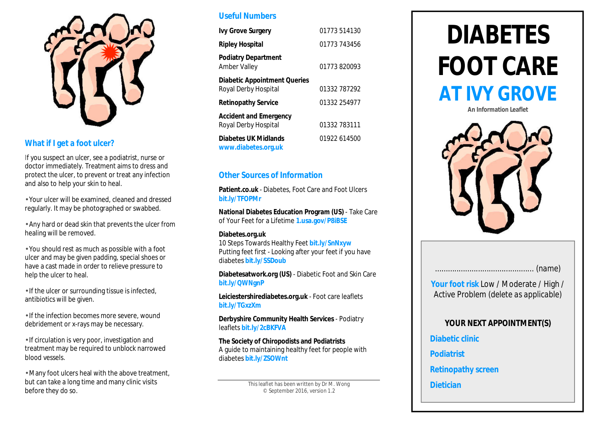

#### **What if I get a foot ulcer?**

If you suspect an ulcer, see a podiatrist, nurse or doctor immediately. Treatment aims to dress and protect the ulcer, to prevent or treat any infection and also to help your skin to heal.

• Your ulcer will be examined, cleaned and dressed regularly. It may be photographed or swabbed.

• Any hard or dead skin that prevents the ulcer from healing will be removed.

• You should rest as much as possible with a foot ulcer and may be given padding, special shoes or have a cast made in order to relieve pressure to help the ulcer to heal.

• If the ulcer or surrounding tissue is infected, antibiotics will be given.

• If the infection becomes more severe, wound debridement or x-rays may be necessary.

• If circulation is very poor, investigation and treatment may be required to unblock narrowed blood vessels.

• Many foot ulcers heal with the above treatment, but can take a long time and many clinic visits before they do so.

#### **Useful Numbers**

| <b>Ivy Grove Surgery</b>                                    | 01773 514130 |
|-------------------------------------------------------------|--------------|
| <b>Ripley Hospital</b>                                      | 01773 743456 |
| <b>Podiatry Department</b><br>Amber Valley                  | 01773820093  |
| <b>Diabetic Appointment Queries</b><br>Royal Derby Hospital | 01332 787292 |
| <b>Retinopathy Service</b>                                  | 01332 254977 |
| <b>Accident and Emergency</b><br>Royal Derby Hospital       | 01332 783111 |
| <b>Diabetes UK Midlands</b><br>www.diabetes.org.uk          | 01922 614500 |

#### **Other Sources of Information**

**Patient.co.uk** - Diabetes, Foot Care and Foot Ulcers **bit.ly/TFOPMr**

**National Diabetes Education Program (US)** - Take Care of Your Feet for a Lifetime **1.usa.gov/P8iBSE**

#### **Diabetes.org.uk**

10 Steps Towards Healthy Feet **bit.ly/SnNxyw** Putting feet first - Looking after your feet if you have diabetes **bit.ly/SSDoub**

**Diabetesatwork.org (US)** - Diabetic Foot and Skin Care **bit.ly/QWNgnP**

**Leiciestershirediabetes.org.uk** - Foot care leaflets **bit.ly/TGxzXm**

**Derbyshire Community Health Services** - Podiatry leaflets **bit.ly/2cBKFVA**

**The Society of Chiropodists and Podiatrists** A guide to maintaining healthy feet for people with diabetes **bit.ly/ZSOWnt**

> This leaflet has been written by Dr M. Wong © September 2016, version 1.2

## **DIABETES FOOT CARE AT IVY GROVE**

**An Information Leaflet**



|--|--|

**Your foot risk** Low / Moderate / High / Active Problem *(delete as applicable)*

#### **YOUR NEXT APPOINTMENT(S)**

**Diabetic clinic**

**Podiatrist**

**Retinopathy screen**

#### **Dietician**